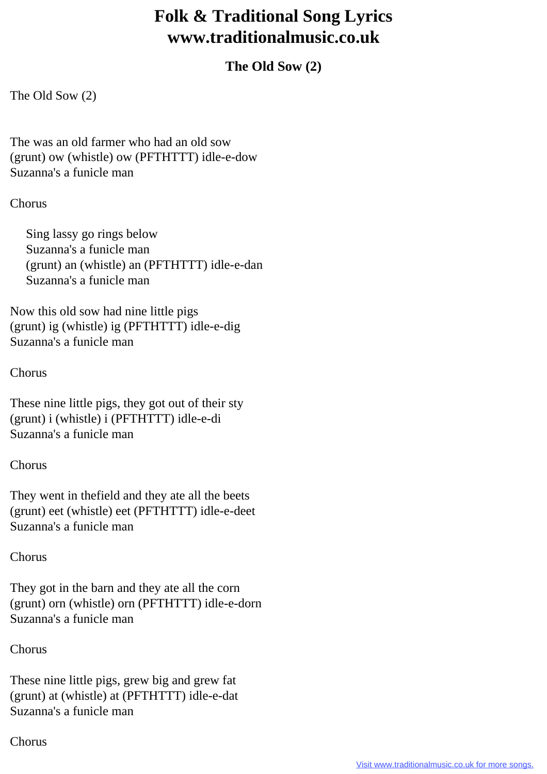# **Folk & Traditional Song Lyrics www.traditionalmusic.co.uk**

# **The Old Sow (2)**

The Old Sow (2)

The was an old farmer who had an old sow (grunt) ow (whistle) ow (PFTHTTT) idle-e-dow Suzanna's a funicle man

#### Chorus

 Sing lassy go rings below Suzanna's a funicle man (grunt) an (whistle) an (PFTHTTT) idle-e-dan Suzanna's a funicle man

Now this old sow had nine little pigs (grunt) ig (whistle) ig (PFTHTTT) idle-e-dig Suzanna's a funicle man

#### Chorus

These nine little pigs, they got out of their sty (grunt) i (whistle) i (PFTHTTT) idle-e-di Suzanna's a funicle man

## Chorus

They went in thefield and they ate all the beets (grunt) eet (whistle) eet (PFTHTTT) idle-e-deet Suzanna's a funicle man

## Chorus

They got in the barn and they ate all the corn (grunt) orn (whistle) orn (PFTHTTT) idle-e-dorn Suzanna's a funicle man

Chorus

These nine little pigs, grew big and grew fat (grunt) at (whistle) at (PFTHTTT) idle-e-dat Suzanna's a funicle man

## Chorus